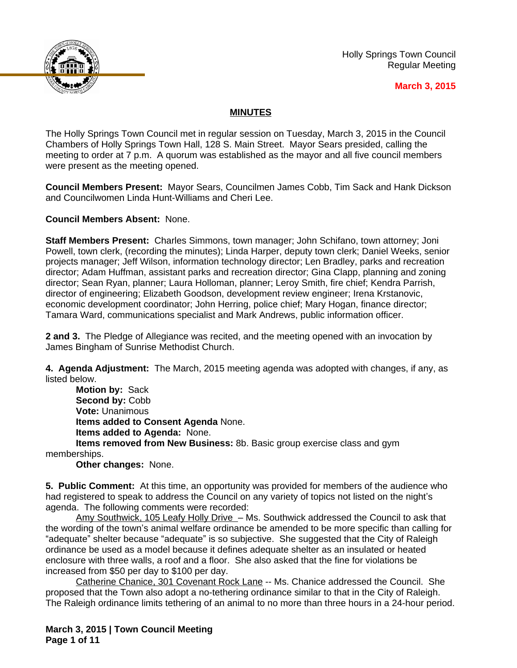

Holly Springs Town Council Regular Meeting

#### **March 3, 2015**

# **MINUTES**

The Holly Springs Town Council met in regular session on Tuesday, March 3, 2015 in the Council Chambers of Holly Springs Town Hall, 128 S. Main Street. Mayor Sears presided, calling the meeting to order at 7 p.m. A quorum was established as the mayor and all five council members were present as the meeting opened.

**Council Members Present:** Mayor Sears, Councilmen James Cobb, Tim Sack and Hank Dickson and Councilwomen Linda Hunt-Williams and Cheri Lee.

**Council Members Absent:** None.

**Staff Members Present:** Charles Simmons, town manager; John Schifano, town attorney; Joni Powell, town clerk, (recording the minutes); Linda Harper, deputy town clerk; Daniel Weeks, senior projects manager; Jeff Wilson, information technology director; Len Bradley, parks and recreation director; Adam Huffman, assistant parks and recreation director; Gina Clapp, planning and zoning director; Sean Ryan, planner; Laura Holloman, planner; Leroy Smith, fire chief; Kendra Parrish, director of engineering; Elizabeth Goodson, development review engineer; Irena Krstanovic, economic development coordinator; John Herring, police chief; Mary Hogan, finance director; Tamara Ward, communications specialist and Mark Andrews, public information officer.

**2 and 3.** The Pledge of Allegiance was recited, and the meeting opened with an invocation by James Bingham of Sunrise Methodist Church.

**4. Agenda Adjustment:** The March, 2015 meeting agenda was adopted with changes, if any, as listed below.

**Motion by:** Sack Second by: Cobb **Vote:** Unanimous **Items added to Consent Agenda** None. **Items added to Agenda:** None. **Items removed from New Business:** 8b. Basic group exercise class and gym

memberships.

**Other changes:** None.

**5. Public Comment:** At this time, an opportunity was provided for members of the audience who had registered to speak to address the Council on any variety of topics not listed on the night's agenda. The following comments were recorded:

Amy Southwick, 105 Leafy Holly Drive - Ms. Southwick addressed the Council to ask that the wording of the town's animal welfare ordinance be amended to be more specific than calling for "adequate" shelter because "adequate" is so subjective. She suggested that the City of Raleigh ordinance be used as a model because it defines adequate shelter as an insulated or heated enclosure with three walls, a roof and a floor. She also asked that the fine for violations be increased from \$50 per day to \$100 per day.

Catherine Chanice, 301 Covenant Rock Lane -- Ms. Chanice addressed the Council. She proposed that the Town also adopt a no-tethering ordinance similar to that in the City of Raleigh. The Raleigh ordinance limits tethering of an animal to no more than three hours in a 24-hour period.

**March 3, 2015 | Town Council Meeting Page 1 of 11**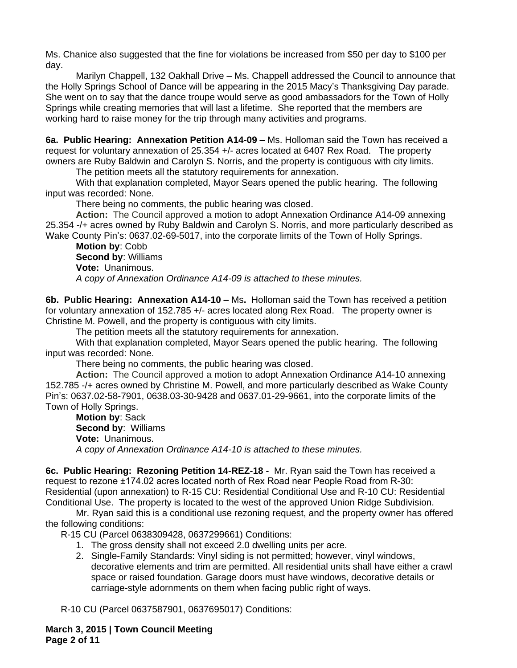Ms. Chanice also suggested that the fine for violations be increased from \$50 per day to \$100 per day.

Marilyn Chappell, 132 Oakhall Drive - Ms. Chappell addressed the Council to announce that the Holly Springs School of Dance will be appearing in the 2015 Macy's Thanksgiving Day parade. She went on to say that the dance troupe would serve as good ambassadors for the Town of Holly Springs while creating memories that will last a lifetime. She reported that the members are working hard to raise money for the trip through many activities and programs.

**6a. Public Hearing: Annexation Petition A14-09 –** Ms. Holloman said the Town has received a request for voluntary annexation of 25.354 +/- acres located at 6407 Rex Road. The property owners are Ruby Baldwin and Carolyn S. Norris, and the property is contiguous with city limits.

The petition meets all the statutory requirements for annexation.

With that explanation completed, Mayor Sears opened the public hearing. The following input was recorded: None.

There being no comments, the public hearing was closed.

**Action:** The Council approved a motion to adopt Annexation Ordinance A14-09 annexing 25.354 -/+ acres owned by Ruby Baldwin and Carolyn S. Norris, and more particularly described as Wake County Pin's: 0637.02-69-5017, into the corporate limits of the Town of Holly Springs.

**Motion by**: Cobb **Second by**: Williams **Vote:** Unanimous. *A copy of Annexation Ordinance A14-09 is attached to these minutes.*

**6b. Public Hearing: Annexation A14-10 –** Ms**.** Holloman said the Town has received a petition for voluntary annexation of 152.785 +/- acres located along Rex Road. The property owner is Christine M. Powell, and the property is contiguous with city limits.

The petition meets all the statutory requirements for annexation.

With that explanation completed, Mayor Sears opened the public hearing. The following input was recorded: None.

There being no comments, the public hearing was closed.

**Action:** The Council approved a motion to adopt Annexation Ordinance A14-10 annexing 152.785 -/+ acres owned by Christine M. Powell, and more particularly described as Wake County Pin's: 0637.02-58-7901, 0638.03-30-9428 and 0637.01-29-9661, into the corporate limits of the Town of Holly Springs.

**Motion by**: Sack **Second by**: Williams **Vote:** Unanimous. *A copy of Annexation Ordinance A14-10 is attached to these minutes.*

**6c. Public Hearing: Rezoning Petition 14-REZ-18 -** Mr. Ryan said the Town has received a request to rezone ±174.02 acres located north of Rex Road near People Road from R-30: Residential (upon annexation) to R-15 CU: Residential Conditional Use and R-10 CU: Residential Conditional Use. The property is located to the west of the approved Union Ridge Subdivision.

Mr. Ryan said this is a conditional use rezoning request, and the property owner has offered the following conditions:

R-15 CU (Parcel 0638309428, 0637299661) Conditions:

- 1. The gross density shall not exceed 2.0 dwelling units per acre.
- 2. Single-Family Standards: Vinyl siding is not permitted; however, vinyl windows, decorative elements and trim are permitted. All residential units shall have either a crawl space or raised foundation. Garage doors must have windows, decorative details or carriage-style adornments on them when facing public right of ways.

R-10 CU (Parcel 0637587901, 0637695017) Conditions:

**March 3, 2015 | Town Council Meeting Page 2 of 11**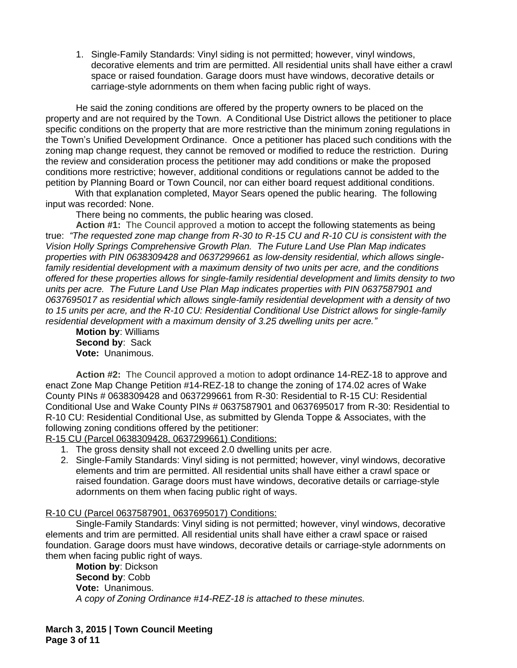1. Single-Family Standards: Vinyl siding is not permitted; however, vinyl windows, decorative elements and trim are permitted. All residential units shall have either a crawl space or raised foundation. Garage doors must have windows, decorative details or carriage-style adornments on them when facing public right of ways.

He said the zoning conditions are offered by the property owners to be placed on the property and are not required by the Town. A Conditional Use District allows the petitioner to place specific conditions on the property that are more restrictive than the minimum zoning regulations in the Town's Unified Development Ordinance. Once a petitioner has placed such conditions with the zoning map change request, they cannot be removed or modified to reduce the restriction. During the review and consideration process the petitioner may add conditions or make the proposed conditions more restrictive; however, additional conditions or regulations cannot be added to the petition by Planning Board or Town Council, nor can either board request additional conditions.

With that explanation completed, Mayor Sears opened the public hearing. The following input was recorded: None.

There being no comments, the public hearing was closed.

**Action #1:** The Council approved a motion to accept the following statements as being true: *"The requested zone map change from R-30 to R-15 CU and R-10 CU is consistent with the Vision Holly Springs Comprehensive Growth Plan. The Future Land Use Plan Map indicates properties with PIN 0638309428 and 0637299661 as low-density residential, which allows singlefamily residential development with a maximum density of two units per acre, and the conditions offered for these properties allows for single-family residential development and limits density to two units per acre. The Future Land Use Plan Map indicates properties with PIN 0637587901 and 0637695017 as residential which allows single-family residential development with a density of two to 15 units per acre, and the R-10 CU: Residential Conditional Use District allows for single-family residential development with a maximum density of 3.25 dwelling units per acre."*

**Motion by**: Williams **Second by**: Sack **Vote:** Unanimous.

**Action #2:** The Council approved a motion to adopt ordinance 14-REZ-18 to approve and enact Zone Map Change Petition #14-REZ-18 to change the zoning of 174.02 acres of Wake County PINs # 0638309428 and 0637299661 from R-30: Residential to R-15 CU: Residential Conditional Use and Wake County PINs # 0637587901 and 0637695017 from R-30: Residential to R-10 CU: Residential Conditional Use, as submitted by Glenda Toppe & Associates, with the following zoning conditions offered by the petitioner:

R-15 CU (Parcel 0638309428, 0637299661) Conditions:

- 1. The gross density shall not exceed 2.0 dwelling units per acre.
- 2. Single-Family Standards: Vinyl siding is not permitted; however, vinyl windows, decorative elements and trim are permitted. All residential units shall have either a crawl space or raised foundation. Garage doors must have windows, decorative details or carriage-style adornments on them when facing public right of ways.

#### R-10 CU (Parcel 0637587901, 0637695017) Conditions:

Single-Family Standards: Vinyl siding is not permitted; however, vinyl windows, decorative elements and trim are permitted. All residential units shall have either a crawl space or raised foundation. Garage doors must have windows, decorative details or carriage-style adornments on them when facing public right of ways.

**Motion by**: Dickson **Second by**: Cobb **Vote:** Unanimous. *A copy of Zoning Ordinance #14-REZ-18 is attached to these minutes.*

**March 3, 2015 | Town Council Meeting Page 3 of 11**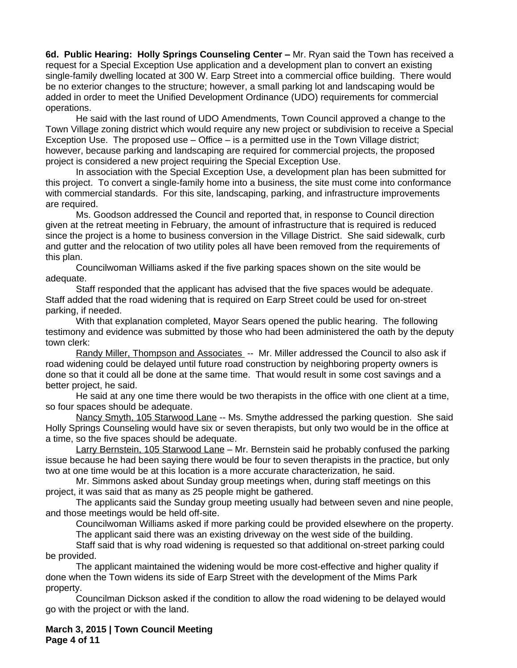**6d. Public Hearing: Holly Springs Counseling Center – Mr. Ryan said the Town has received a** request for a Special Exception Use application and a development plan to convert an existing single-family dwelling located at 300 W. Earp Street into a commercial office building. There would be no exterior changes to the structure; however, a small parking lot and landscaping would be added in order to meet the Unified Development Ordinance (UDO) requirements for commercial operations.

He said with the last round of UDO Amendments, Town Council approved a change to the Town Village zoning district which would require any new project or subdivision to receive a Special Exception Use. The proposed use – Office – is a permitted use in the Town Village district; however, because parking and landscaping are required for commercial projects, the proposed project is considered a new project requiring the Special Exception Use.

In association with the Special Exception Use, a development plan has been submitted for this project. To convert a single-family home into a business, the site must come into conformance with commercial standards. For this site, landscaping, parking, and infrastructure improvements are required.

Ms. Goodson addressed the Council and reported that, in response to Council direction given at the retreat meeting in February, the amount of infrastructure that is required is reduced since the project is a home to business conversion in the Village District. She said sidewalk, curb and gutter and the relocation of two utility poles all have been removed from the requirements of this plan.

Councilwoman Williams asked if the five parking spaces shown on the site would be adequate.

Staff responded that the applicant has advised that the five spaces would be adequate. Staff added that the road widening that is required on Earp Street could be used for on-street parking, if needed.

With that explanation completed, Mayor Sears opened the public hearing. The following testimony and evidence was submitted by those who had been administered the oath by the deputy town clerk:

Randy Miller, Thompson and Associates -- Mr. Miller addressed the Council to also ask if road widening could be delayed until future road construction by neighboring property owners is done so that it could all be done at the same time. That would result in some cost savings and a better project, he said.

He said at any one time there would be two therapists in the office with one client at a time, so four spaces should be adequate.

Nancy Smyth, 105 Starwood Lane -- Ms. Smythe addressed the parking question. She said Holly Springs Counseling would have six or seven therapists, but only two would be in the office at a time, so the five spaces should be adequate.

Larry Bernstein, 105 Starwood Lane - Mr. Bernstein said he probably confused the parking issue because he had been saying there would be four to seven therapists in the practice, but only two at one time would be at this location is a more accurate characterization, he said.

Mr. Simmons asked about Sunday group meetings when, during staff meetings on this project, it was said that as many as 25 people might be gathered.

The applicants said the Sunday group meeting usually had between seven and nine people, and those meetings would be held off-site.

Councilwoman Williams asked if more parking could be provided elsewhere on the property. The applicant said there was an existing driveway on the west side of the building.

Staff said that is why road widening is requested so that additional on-street parking could be provided.

The applicant maintained the widening would be more cost-effective and higher quality if done when the Town widens its side of Earp Street with the development of the Mims Park property.

Councilman Dickson asked if the condition to allow the road widening to be delayed would go with the project or with the land.

**March 3, 2015 | Town Council Meeting Page 4 of 11**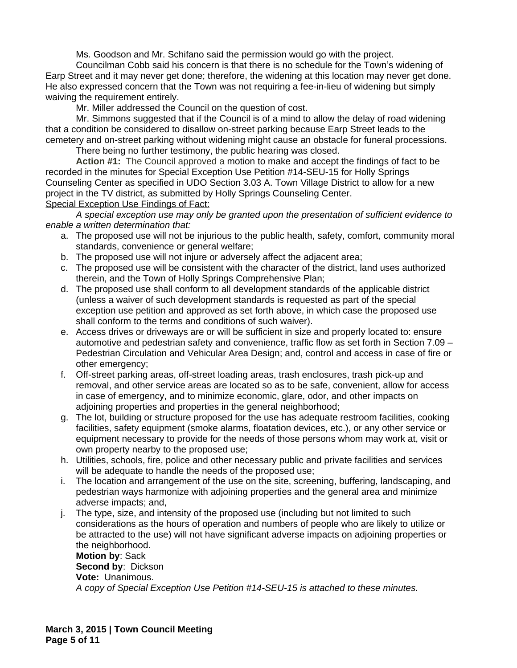Ms. Goodson and Mr. Schifano said the permission would go with the project.

Councilman Cobb said his concern is that there is no schedule for the Town's widening of Earp Street and it may never get done; therefore, the widening at this location may never get done. He also expressed concern that the Town was not requiring a fee-in-lieu of widening but simply waiving the requirement entirely.

Mr. Miller addressed the Council on the question of cost.

Mr. Simmons suggested that if the Council is of a mind to allow the delay of road widening that a condition be considered to disallow on-street parking because Earp Street leads to the cemetery and on-street parking without widening might cause an obstacle for funeral processions. There being no further testimony, the public hearing was closed.

**Action #1:** The Council approved a motion to make and accept the findings of fact to be recorded in the minutes for Special Exception Use Petition #14-SEU-15 for Holly Springs Counseling Center as specified in UDO Section 3.03 A. Town Village District to allow for a new project in the TV district, as submitted by Holly Springs Counseling Center.

Special Exception Use Findings of Fact:

*A special exception use may only be granted upon the presentation of sufficient evidence to enable a written determination that:*

- a. The proposed use will not be injurious to the public health, safety, comfort, community moral standards, convenience or general welfare;
- b. The proposed use will not injure or adversely affect the adjacent area;
- c. The proposed use will be consistent with the character of the district, land uses authorized therein, and the Town of Holly Springs Comprehensive Plan;
- d. The proposed use shall conform to all development standards of the applicable district (unless a waiver of such development standards is requested as part of the special exception use petition and approved as set forth above, in which case the proposed use shall conform to the terms and conditions of such waiver).
- e. Access drives or driveways are or will be sufficient in size and properly located to: ensure automotive and pedestrian safety and convenience, traffic flow as set forth in Section 7.09 – Pedestrian Circulation and Vehicular Area Design; and, control and access in case of fire or other emergency;
- f. Off-street parking areas, off-street loading areas, trash enclosures, trash pick-up and removal, and other service areas are located so as to be safe, convenient, allow for access in case of emergency, and to minimize economic, glare, odor, and other impacts on adjoining properties and properties in the general neighborhood;
- g. The lot, building or structure proposed for the use has adequate restroom facilities, cooking facilities, safety equipment (smoke alarms, floatation devices, etc.), or any other service or equipment necessary to provide for the needs of those persons whom may work at, visit or own property nearby to the proposed use;
- h. Utilities, schools, fire, police and other necessary public and private facilities and services will be adequate to handle the needs of the proposed use;
- i. The location and arrangement of the use on the site, screening, buffering, landscaping, and pedestrian ways harmonize with adjoining properties and the general area and minimize adverse impacts; and,
- j. The type, size, and intensity of the proposed use (including but not limited to such considerations as the hours of operation and numbers of people who are likely to utilize or be attracted to the use) will not have significant adverse impacts on adjoining properties or the neighborhood.

**Motion by**: Sack **Second by**: Dickson **Vote:** Unanimous. *A copy of Special Exception Use Petition #14-SEU-15 is attached to these minutes.*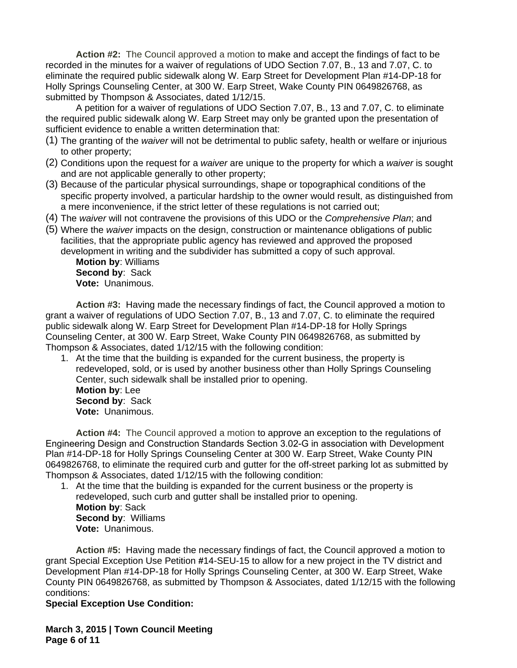**Action #2:** The Council approved a motion to make and accept the findings of fact to be recorded in the minutes for a waiver of regulations of UDO Section 7.07, B., 13 and 7.07, C. to eliminate the required public sidewalk along W. Earp Street for Development Plan #14-DP-18 for Holly Springs Counseling Center, at 300 W. Earp Street, Wake County PIN 0649826768, as submitted by Thompson & Associates, dated 1/12/15.

A petition for a waiver of regulations of UDO Section 7.07, B., 13 and 7.07, C. to eliminate the required public sidewalk along W. Earp Street may only be granted upon the presentation of sufficient evidence to enable a written determination that:

- (1) The granting of the *waiver* will not be detrimental to public safety, health or welfare or injurious to other property;
- (2) Conditions upon the request for a *waiver* are unique to the property for which a *waiver* is sought and are not applicable generally to other property;
- (3) Because of the particular physical surroundings, shape or topographical conditions of the specific property involved, a particular hardship to the owner would result, as distinguished from a mere inconvenience, if the strict letter of these regulations is not carried out;
- (4) The *waiver* will not contravene the provisions of this UDO or the *Comprehensive Plan*; and
- (5) Where the *waiver* impacts on the design, construction or maintenance obligations of public facilities, that the appropriate public agency has reviewed and approved the proposed development in writing and the subdivider has submitted a copy of such approval.

**Motion by**: Williams **Second by**: Sack **Vote:** Unanimous.

**Action #3:** Having made the necessary findings of fact, the Council approved a motion to grant a waiver of regulations of UDO Section 7.07, B., 13 and 7.07, C. to eliminate the required public sidewalk along W. Earp Street for Development Plan #14-DP-18 for Holly Springs Counseling Center, at 300 W. Earp Street, Wake County PIN 0649826768, as submitted by Thompson & Associates, dated 1/12/15 with the following condition:

1. At the time that the building is expanded for the current business, the property is redeveloped, sold, or is used by another business other than Holly Springs Counseling Center, such sidewalk shall be installed prior to opening. **Motion by**: Lee **Second by**: Sack **Vote:** Unanimous.

**Action #4:** The Council approved a motion to approve an exception to the regulations of Engineering Design and Construction Standards Section 3.02-G in association with Development Plan #14-DP-18 for Holly Springs Counseling Center at 300 W. Earp Street, Wake County PIN 0649826768, to eliminate the required curb and gutter for the off-street parking lot as submitted by Thompson & Associates, dated 1/12/15 with the following condition:

1. At the time that the building is expanded for the current business or the property is redeveloped, such curb and gutter shall be installed prior to opening. **Motion by**: Sack **Second by**: Williams **Vote:** Unanimous.

**Action #5:** Having made the necessary findings of fact, the Council approved a motion to grant Special Exception Use Petition **#**14-SEU-15 to allow for a new project in the TV district and Development Plan #14-DP-18 for Holly Springs Counseling Center, at 300 W. Earp Street, Wake County PIN 0649826768, as submitted by Thompson & Associates, dated 1/12/15 with the following conditions:

# **Special Exception Use Condition:**

**March 3, 2015 | Town Council Meeting Page 6 of 11**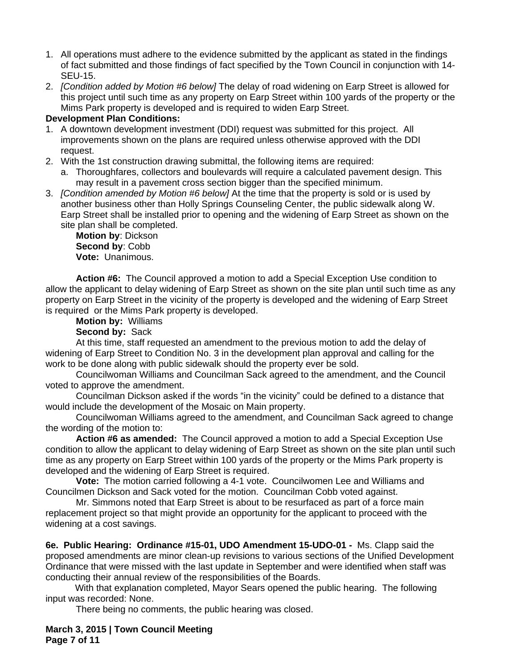- 1. All operations must adhere to the evidence submitted by the applicant as stated in the findings of fact submitted and those findings of fact specified by the Town Council in conjunction with 14- SEU-15.
- 2. *[Condition added by Motion #6 below]* The delay of road widening on Earp Street is allowed for this project until such time as any property on Earp Street within 100 yards of the property or the Mims Park property is developed and is required to widen Earp Street.

## **Development Plan Conditions:**

- 1. A downtown development investment (DDI) request was submitted for this project. All improvements shown on the plans are required unless otherwise approved with the DDI request.
- 2. With the 1st construction drawing submittal, the following items are required:
	- a. Thoroughfares, collectors and boulevards will require a calculated pavement design. This may result in a pavement cross section bigger than the specified minimum.
- 3. *[Condition amended by Motion #6 below]* At the time that the property is sold or is used by another business other than Holly Springs Counseling Center, the public sidewalk along W. Earp Street shall be installed prior to opening and the widening of Earp Street as shown on the site plan shall be completed.

**Motion by**: Dickson **Second by**: Cobb **Vote:** Unanimous.

**Action #6:** The Council approved a motion to add a Special Exception Use condition to allow the applicant to delay widening of Earp Street as shown on the site plan until such time as any property on Earp Street in the vicinity of the property is developed and the widening of Earp Street is required or the Mims Park property is developed.

**Motion by:** Williams

**Second by:** Sack

At this time, staff requested an amendment to the previous motion to add the delay of widening of Earp Street to Condition No. 3 in the development plan approval and calling for the work to be done along with public sidewalk should the property ever be sold.

Councilwoman Williams and Councilman Sack agreed to the amendment, and the Council voted to approve the amendment.

Councilman Dickson asked if the words "in the vicinity" could be defined to a distance that would include the development of the Mosaic on Main property.

Councilwoman Williams agreed to the amendment, and Councilman Sack agreed to change the wording of the motion to:

**Action #6 as amended:** The Council approved a motion to add a Special Exception Use condition to allow the applicant to delay widening of Earp Street as shown on the site plan until such time as any property on Earp Street within 100 yards of the property or the Mims Park property is developed and the widening of Earp Street is required.

**Vote:** The motion carried following a 4-1 vote. Councilwomen Lee and Williams and Councilmen Dickson and Sack voted for the motion. Councilman Cobb voted against.

Mr. Simmons noted that Earp Street is about to be resurfaced as part of a force main replacement project so that might provide an opportunity for the applicant to proceed with the widening at a cost savings.

**6e. Public Hearing: Ordinance #15-01, UDO Amendment 15-UDO-01 -** Ms. Clapp said the proposed amendments are minor clean-up revisions to various sections of the Unified Development Ordinance that were missed with the last update in September and were identified when staff was conducting their annual review of the responsibilities of the Boards.

With that explanation completed, Mayor Sears opened the public hearing. The following input was recorded: None.

There being no comments, the public hearing was closed.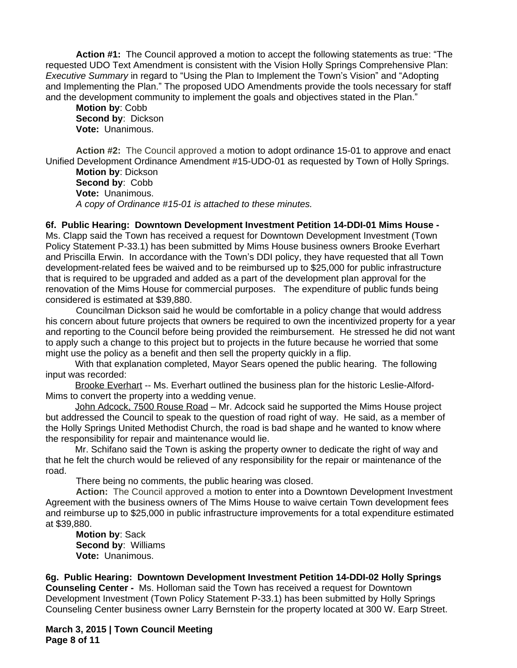**Action #1:** The Council approved a motion to accept the following statements as true: "The requested UDO Text Amendment is consistent with the Vision Holly Springs Comprehensive Plan: *Executive Summary* in regard to "Using the Plan to Implement the Town's Vision" and "Adopting and Implementing the Plan." The proposed UDO Amendments provide the tools necessary for staff and the development community to implement the goals and objectives stated in the Plan."

**Motion by**: Cobb **Second by**: Dickson **Vote:** Unanimous.

**Action #2:** The Council approved a motion to adopt ordinance 15-01 to approve and enact Unified Development Ordinance Amendment #15-UDO-01 as requested by Town of Holly Springs.

**Motion by**: Dickson **Second by**: Cobb **Vote:** Unanimous. *A copy of Ordinance #15-01 is attached to these minutes.*

**6f. Public Hearing: Downtown Development Investment Petition 14-DDI-01 Mims House -**  Ms. Clapp said the Town has received a request for Downtown Development Investment (Town Policy Statement P-33.1) has been submitted by Mims House business owners Brooke Everhart and Priscilla Erwin. In accordance with the Town's DDI policy, they have requested that all Town development-related fees be waived and to be reimbursed up to \$25,000 for public infrastructure that is required to be upgraded and added as a part of the development plan approval for the renovation of the Mims House for commercial purposes. The expenditure of public funds being considered is estimated at \$39,880.

Councilman Dickson said he would be comfortable in a policy change that would address his concern about future projects that owners be required to own the incentivized property for a year and reporting to the Council before being provided the reimbursement. He stressed he did not want to apply such a change to this project but to projects in the future because he worried that some might use the policy as a benefit and then sell the property quickly in a flip.

With that explanation completed, Mayor Sears opened the public hearing. The following input was recorded:

Brooke Everhart -- Ms. Everhart outlined the business plan for the historic Leslie-Alford-Mims to convert the property into a wedding venue.

John Adcock, 7500 Rouse Road – Mr. Adcock said he supported the Mims House project but addressed the Council to speak to the question of road right of way. He said, as a member of the Holly Springs United Methodist Church, the road is bad shape and he wanted to know where the responsibility for repair and maintenance would lie.

Mr. Schifano said the Town is asking the property owner to dedicate the right of way and that he felt the church would be relieved of any responsibility for the repair or maintenance of the road.

There being no comments, the public hearing was closed.

**Action:** The Council approved a motion to enter into a Downtown Development Investment Agreement with the business owners of The Mims House to waive certain Town development fees and reimburse up to \$25,000 in public infrastructure improvements for a total expenditure estimated at \$39,880.

**Motion by**: Sack **Second by**: Williams **Vote:** Unanimous.

**6g. Public Hearing: Downtown Development Investment Petition 14-DDI-02 Holly Springs Counseling Center -** Ms. Holloman said the Town has received a request for Downtown Development Investment (Town Policy Statement P-33.1) has been submitted by Holly Springs Counseling Center business owner Larry Bernstein for the property located at 300 W. Earp Street.

**March 3, 2015 | Town Council Meeting Page 8 of 11**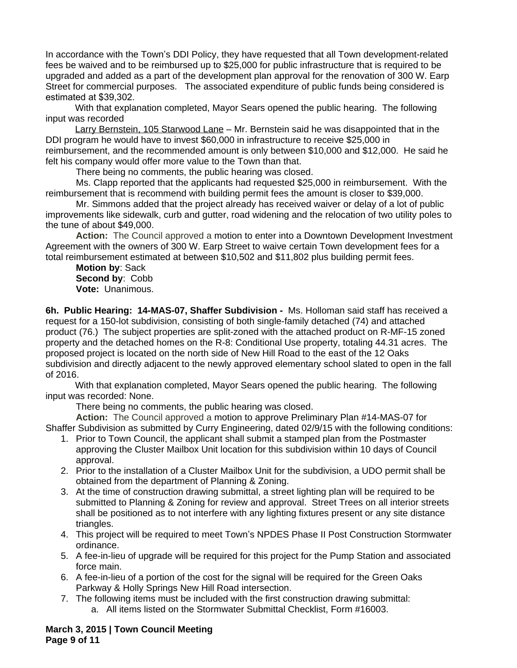In accordance with the Town's DDI Policy, they have requested that all Town development-related fees be waived and to be reimbursed up to \$25,000 for public infrastructure that is required to be upgraded and added as a part of the development plan approval for the renovation of 300 W. Earp Street for commercial purposes. The associated expenditure of public funds being considered is estimated at \$39,302.

With that explanation completed, Mayor Sears opened the public hearing. The following input was recorded

Larry Bernstein, 105 Starwood Lane – Mr. Bernstein said he was disappointed that in the DDI program he would have to invest \$60,000 in infrastructure to receive \$25,000 in reimbursement, and the recommended amount is only between \$10,000 and \$12,000. He said he

felt his company would offer more value to the Town than that.

There being no comments, the public hearing was closed.

Ms. Clapp reported that the applicants had requested \$25,000 in reimbursement. With the reimbursement that is recommend with building permit fees the amount is closer to \$39,000.

Mr. Simmons added that the project already has received waiver or delay of a lot of public improvements like sidewalk, curb and gutter, road widening and the relocation of two utility poles to the tune of about \$49,000.

**Action:** The Council approved a motion to enter into a Downtown Development Investment Agreement with the owners of 300 W. Earp Street to waive certain Town development fees for a total reimbursement estimated at between \$10,502 and \$11,802 plus building permit fees.

**Motion by**: Sack **Second by**: Cobb **Vote:** Unanimous.

**6h. Public Hearing: 14-MAS-07, Shaffer Subdivision -** Ms. Holloman said staff has received a request for a 150-lot subdivision, consisting of both single-family detached (74) and attached product (76.) The subject properties are split-zoned with the attached product on R-MF-15 zoned property and the detached homes on the R-8: Conditional Use property, totaling 44.31 acres. The proposed project is located on the north side of New Hill Road to the east of the 12 Oaks subdivision and directly adjacent to the newly approved elementary school slated to open in the fall of 2016.

With that explanation completed, Mayor Sears opened the public hearing. The following input was recorded: None.

There being no comments, the public hearing was closed.

**Action:** The Council approved a motion to approve Preliminary Plan #14-MAS-07 for Shaffer Subdivision as submitted by Curry Engineering, dated 02/9/15 with the following conditions:

- 1. Prior to Town Council, the applicant shall submit a stamped plan from the Postmaster approving the Cluster Mailbox Unit location for this subdivision within 10 days of Council approval.
- 2. Prior to the installation of a Cluster Mailbox Unit for the subdivision, a UDO permit shall be obtained from the department of Planning & Zoning.
- 3. At the time of construction drawing submittal, a street lighting plan will be required to be submitted to Planning & Zoning for review and approval. Street Trees on all interior streets shall be positioned as to not interfere with any lighting fixtures present or any site distance triangles.
- 4. This project will be required to meet Town's NPDES Phase II Post Construction Stormwater ordinance.
- 5. A fee-in-lieu of upgrade will be required for this project for the Pump Station and associated force main.
- 6. A fee-in-lieu of a portion of the cost for the signal will be required for the Green Oaks Parkway & Holly Springs New Hill Road intersection.
- 7. The following items must be included with the first construction drawing submittal: a. All items listed on the Stormwater Submittal Checklist, Form #16003.

**March 3, 2015 | Town Council Meeting Page 9 of 11**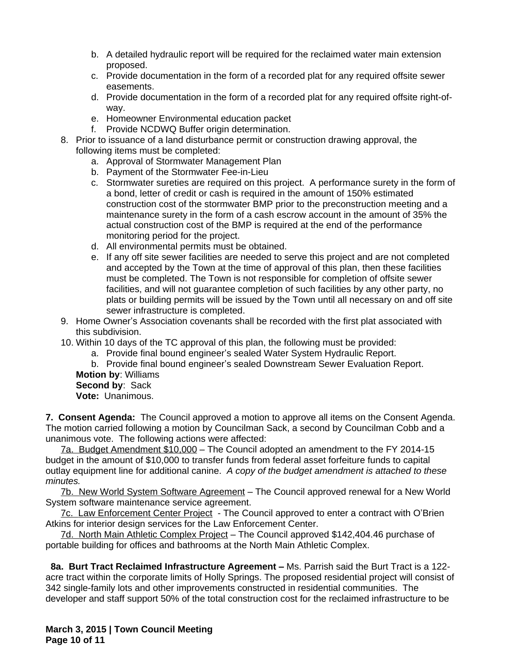- b. A detailed hydraulic report will be required for the reclaimed water main extension proposed.
- c. Provide documentation in the form of a recorded plat for any required offsite sewer easements.
- d. Provide documentation in the form of a recorded plat for any required offsite right-ofway.
- e. Homeowner Environmental education packet
- f. Provide NCDWQ Buffer origin determination.
- 8. Prior to issuance of a land disturbance permit or construction drawing approval, the following items must be completed:
	- a. Approval of Stormwater Management Plan
	- b. Payment of the Stormwater Fee-in-Lieu
	- c. Stormwater sureties are required on this project. A performance surety in the form of a bond, letter of credit or cash is required in the amount of 150% estimated construction cost of the stormwater BMP prior to the preconstruction meeting and a maintenance surety in the form of a cash escrow account in the amount of 35% the actual construction cost of the BMP is required at the end of the performance monitoring period for the project.
	- d. All environmental permits must be obtained.
	- e. If any off site sewer facilities are needed to serve this project and are not completed and accepted by the Town at the time of approval of this plan, then these facilities must be completed. The Town is not responsible for completion of offsite sewer facilities, and will not guarantee completion of such facilities by any other party, no plats or building permits will be issued by the Town until all necessary on and off site sewer infrastructure is completed.
- 9. Home Owner's Association covenants shall be recorded with the first plat associated with this subdivision.
- 10. Within 10 days of the TC approval of this plan, the following must be provided:
	- a. Provide final bound engineer's sealed Water System Hydraulic Report.
	- b. Provide final bound engineer's sealed Downstream Sewer Evaluation Report.

**Motion by**: Williams **Second by**: Sack **Vote:** Unanimous.

**7. Consent Agenda:** The Council approved a motion to approve all items on the Consent Agenda. The motion carried following a motion by Councilman Sack, a second by Councilman Cobb and a unanimous vote. The following actions were affected:

7a. Budget Amendment \$10,000 – The Council adopted an amendment to the FY 2014-15 budget in the amount of \$10,000 to transfer funds from federal asset forfeiture funds to capital outlay equipment line for additional canine. *A copy of the budget amendment is attached to these minutes.*

7b. New World System Software Agreement – The Council approved renewal for a New World System software maintenance service agreement.

7c. Law Enforcement Center Project - The Council approved to enter a contract with O'Brien Atkins for interior design services for the Law Enforcement Center.

7d. North Main Athletic Complex Project – The Council approved \$142,404.46 purchase of portable building for offices and bathrooms at the North Main Athletic Complex.

**8a. Burt Tract Reclaimed Infrastructure Agreement – Ms. Parrish said the Burt Tract is a 122**acre tract within the corporate limits of Holly Springs. The proposed residential project will consist of 342 single-family lots and other improvements constructed in residential communities. The developer and staff support 50% of the total construction cost for the reclaimed infrastructure to be